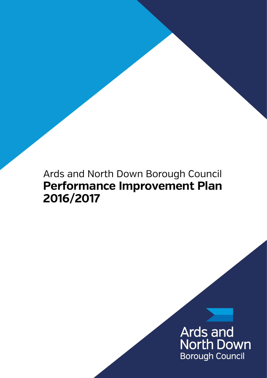# Ards and North Down Borough Council **Performance Improvement Plan 2016/2017**

# Ards and<br>North Down **Borough Council**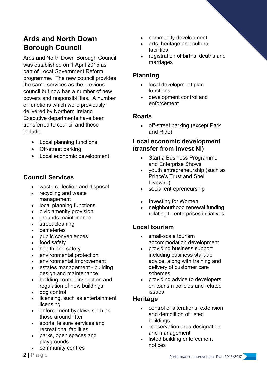# **Ards and North Down Borough Council**

Ards and North Down Borough Council was established on 1 April 2015 as part of Local Government Reform programme. The new council provides the same services as the previous council but now has a number of new powers and responsibilities. A number of functions which were previously delivered by Northern Ireland Executive departments have been transferred to council and these include:

- Local planning functions
- Off-street parking
- Local economic development

### **Council Services**

- waste collection and disposal
- recycling and waste management
- local planning functions
- civic amenity provision
- grounds maintenance
- street cleaning
- **cemeteries**
- public conveniences
- food safety
- health and safety
- environmental protection
- environmental improvement
- estates management building design and maintenance
- building control-inspection and regulation of new buildings
- dog control
- licensing, such as entertainment licensing
- enforcement byelaws such as those around litter
- sports, leisure services and recreational facilities
- parks, open spaces and playgrounds
- community centres
- community development
- arts, heritage and cultural facilities
- registration of births, deaths and marriages

### **Planning**

- local development plan functions
- development control and enforcement

### **Roads**

• off-street parking (except Park and Ride)

### **Local economic development (transfer from Invest NI)**

- Start a Business Programme and Enterprise Shows
- youth entrepreneurship (such as Prince's Trust and Shell Livewire)
- social entrepreneurship
- Investing for Women
- neighbourhood renewal funding relating to enterprises initiatives

### **Local tourism**

- small-scale tourism accommodation development
- providing business support including business start-up advice, along with training and delivery of customer care schemes
- providing advice to developers on tourism policies and related issues

### **Heritage**

- control of alterations, extension and demolition of listed buildings
- conservation area designation and management
- listed building enforcement notices

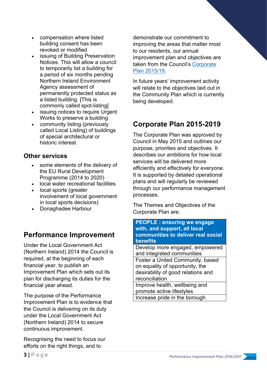- compensation where listed building consent has been revoked or modified
- issuing of Building Preservation Notices. This will allow a council to temporarily list a building for a period of six months pending Northern Ireland Environment Agency assessment of permanently protected status as a listed building. [This is commonly called spot-listing]
- issuing notices to require Urgent Works to preserve a building
- community listing (previously called Local Listing) of buildings of special architectural or historic interest

### **Other services**

- some elements of the delivery of the EU Rural Development Programme (2014 to 2020)
- local water recreational facilities
- local sports (greater involvement of local government in local sports decisions)
- Donaghadee Harbour

# **Performance Improvement**

Under the Local Government Act (Northern Ireland) 2014 the Council is required, at the beginning of each financial year, to publish an Improvement Plan which sets out its plan for discharging its duties for the financial year ahead.

The purpose of the Performance Improvement Plan is to evidence that the Council is delivering on its duty under the Local Government Act (Northern Ireland) 2014 to secure continuous improvement.

Recognising the need to focus our efforts on the right things, and to

demonstrate our commitment to improving the areas that matter most to our residents, our annual improvement plan and objectives are taken from the Council's Corporate Plan 2015/19.

In future years' improvement activity will relate to the objectives laid out in the Community Plan which is currently being developed.

# **Corporate Plan 2015-2019**

The Corporate Plan was approved by Council in May 2015 and outlines our purpose, priorities and objectives. It describes our ambitions for how local services will be delivered more efficiently and effectively for everyone. It is supported by detailed operational plans and will regularly be reviewed through our performance management processes.

The Themes and Objectives of the Corporate Plan are:

#### **PEOPLE : ensuring we engage with, and support, all local communities to deliver real social benefits**

Develop more engaged, empowered and integrated communities Foster a United Community, based on equality of opportunity, the

desirability of good relations and reconciliation

Improve health, wellbeing and promote active lifestyles Increase pride in the borough

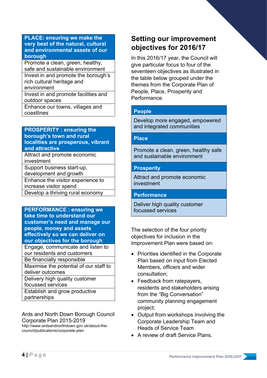#### **PLACE: ensuring we make the very best of the natural, cultural and environmental assets of our borough**

Promote a clean, green, healthy, safe and sustainable environment Invest in and promote the borough's rich cultural heritage and

environment

Invest in and promote facilities and outdoor spaces

Enhance our towns, villages and coastlines

#### **PROSPERITY : ensuring the borough's town and rural localities are prosperous, vibrant and attractive**

Attract and promote economic investment Support business start-up,

development and growth

Enhance the visitor experience to increase visitor spend

Develop a thriving rural economy

#### **PERFORMANCE : ensuring we take time to understand our customer's need and manage our people, money and assets effectively so we can deliver on our objectives for the borough**

Engage, communicate and listen to our residents and customers

Be financially responsible Maximise the potential of our staff to

deliver outcomes

Delivery high quality customer focussed services

Establish and grow productive partnerships

Ards and North Down Borough Council Corporate Plan 2015-2019 http://www.ardsandnorthdown.gov.uk/about-the-

council/publications/corporate-plan

# **Setting our improvement objectives for 2016/17**

In this 2016/17 year, the Council will give particular focus to four of the seventeen objectives as illustrated in the table below grouped under the themes from the Corporate Plan of People, Place, Prosperity and Performance.

### **People**

Develop more engaged, empowered and integrated communities

#### **Place**

Promote a clean, green, healthy safe and sustainable environment

#### **Prosperity**

Attract and promote economic investment

#### **Performance**

Deliver high quality customer focussed services

The selection of the four priority objectives for inclusion in the Improvement Plan were based on:

- Priorities identified in the Corporate Plan based on input from Elected Members, officers and wider consultation;
- Feedback from ratepayers, residents and stakeholders arising from the "Big Conversation" community planning engagement project;
- Output from workshops involving the Corporate Leadership Team and Heads of Service Team
- A review of draft Service Plans.

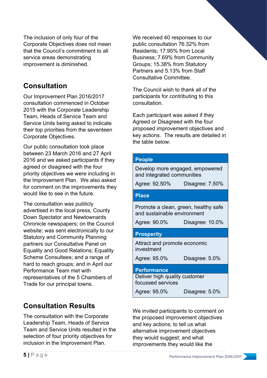The inclusion of only four of the Corporate Objectives does not mean that the Council's commitment to all service areas demonstrating improvement is diminished.

# **Consultation**

Our Improvement Plan 2016/2017 consultation commenced in October 2015 with the Corporate Leadership Team, Heads of Service Team and Service Units being asked to indicate their top priorities from the seventeen Corporate Objectives.

Our public consultation took place between 23 March 2016 and 27 April 2016 and we asked participants if they agreed or disagreed with the four priority objectives we were including in the Improvement Plan. We also asked for comment on the improvements they would like to see in the future.

The consultation was publicly advertised in the local press, County Down Spectator and Newtownards Chronicle newspapers; on the Council website; was sent electronically to our Statutory and Community Planning partners our Consultative Panel on Equality and Good Relations; Equality Scheme Consultees; and a range of hard to reach groups; and in April our Performance Team met with representatives of the 5 Chambers of Trade for our principal towns.

# **Consultation Results**

The consultation with the Corporate Leadership Team, Heads of Service Team and Service Units resulted in the selection of four priority objectives for inclusion in the Improvement Plan.

We received 40 responses to our public consultation 76.32% from Residents; 17.95% from Local Business; 7.69% from Community Groups; 15.38% from Statutory Partners and 5.13% from Staff Consultative Committee.

The Council wish to thank all of the participants for contributing to this consultation.

Each participant was asked if they Agreed or Disagreed with the four proposed improvement objectives and key actions. The results are detailed in the table below:

| People                                                              |                 |
|---------------------------------------------------------------------|-----------------|
| Develop more engaged, empowered<br>and integrated communities       |                 |
| Agree: 92.50%                                                       | Disagree: 7.50% |
| <b>Place</b>                                                        |                 |
| Promote a clean, green, healthy safe<br>and sustainable environment |                 |
| Agree: 90.0%                                                        | Disagree: 10.0% |
|                                                                     |                 |
| <b>Prosperity</b>                                                   |                 |
| Attract and promote economic<br>investment                          |                 |
| Agree: 95.0%                                                        | Disagree: 5.0%  |
| <b>Performance</b>                                                  |                 |
| Deliver high quality customer<br>focussed services                  |                 |

We invited participants to comment on the proposed improvement objectives and key actions; to tell us what alternative improvement objectives they would suggest; and what improvements they would like the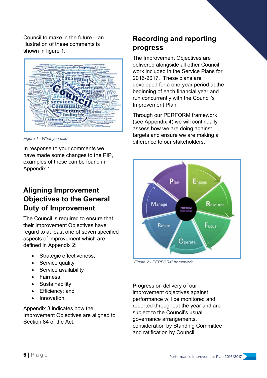Council to make in the future – an illustration of these comments is shown in figure 1**.**



*Figure 1 - What you said*

In response to your comments we have made some changes to the PIP, examples of these can be found in Appendix 1.

# **Aligning Improvement Objectives to the General Duty of Improvement**

The Council is required to ensure that their Improvement Objectives have regard to at least one of seven specified aspects of improvement which are defined in Appendix 2:

- Strategic effectiveness;
- Service quality
- Service availability
- Fairness
- Sustainability
- Efficiency; and
- Innovation.

Appendix 3 indicates how the Improvement Objectives are aligned to Section 84 of the Act.

# **Recording and reporting progress**

The Improvement Objectives are delivered alongside all other Council work included in the Service Plans for 2016-2017. These plans are developed for a one-year period at the beginning of each financial year and run concurrently with the Council's Improvement Plan.

Through our PERFORM framework (see Appendix 4) we will continually assess how we are doing against targets and ensure we are making a difference to our stakeholders.



*Figure 2 - PERFORM framework*

Progress on delivery of our improvement objectives against performance will be monitored and reported throughout the year and are subject to the Council's usual governance arrangements, consideration by Standing Committee and ratification by Council.

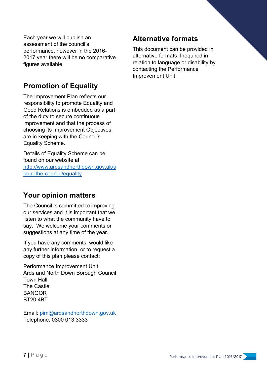Each year we will publish an assessment of the council's performance, however in the 2016- 2017 year there will be no comparative figures available.

# **Promotion of Equality**

The Improvement Plan reflects our responsibility to promote Equality and Good Relations is embedded as a part of the duty to secure continuous improvement and that the process of choosing its Improvement Objectives are in keeping with the Council's Equality Scheme.

Details of Equality Scheme can be found on our website at http://www.ardsandnorthdown.gov.uk/a bout-the-council/equality

# **Your opinion matters**

The Council is committed to improving our services and it is important that we listen to what the community have to say. We welcome your comments or suggestions at any time of the year.

If you have any comments, would like any further information, or to request a copy of this plan please contact:

Performance Improvement Unit Ards and North Down Borough Council Town Hall The Castle **BANGOR** BT20 4BT

Email: pim@ardsandnorthdown.gov.uk Telephone: 0300 013 3333

# **Alternative formats**

This document can be provided in alternative formats if required in relation to language or disability by contacting the Performance Improvement Unit.

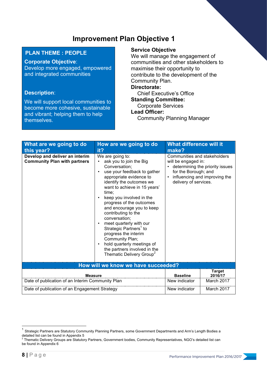#### **PLAN THEME : PEOPLE**

#### **Corporate Objective**:

Develop more engaged, empowered and integrated communities

#### **Description**:

We will support local communities to become more cohesive, sustainable and vibrant; helping them to help themselves.

#### **Service Objective**

We will manage the engagement of communities and other stakeholders to maximise their opportunity to contribute to the development of the Community Plan. **Directorate:** 

Chief Executive's Office **Standing Committee:** 

Corporate Services

#### **Lead Officer:**

Community Planning Manager

| What are we going to do<br>this year?                                 | How are we going to do<br>it?                                                                                                                                                                                                                                                                                                                                                                                                                                                                                                              | <b>What difference will it</b><br>make?                                                              |                                                                  |
|-----------------------------------------------------------------------|--------------------------------------------------------------------------------------------------------------------------------------------------------------------------------------------------------------------------------------------------------------------------------------------------------------------------------------------------------------------------------------------------------------------------------------------------------------------------------------------------------------------------------------------|------------------------------------------------------------------------------------------------------|------------------------------------------------------------------|
| Develop and deliver an interim<br><b>Community Plan with partners</b> | We are going to:<br>ask you to join the Big<br>Conversation;<br>use your feedback to gather<br>appropriate evidence to<br>identify the outcomes we<br>want to achieve in 15 years'<br>time;<br>keep you involved in the<br>progress of the outcomes<br>and encourage you to keep<br>contributing to the<br>conversation;<br>meet quarterly with our<br>Strategic Partners <sup>1</sup> to<br>progress the interim<br>Community Plan;<br>hold quarterly meetings of<br>the partners involved in the<br>Thematic Delivery Group <sup>2</sup> | Communities and stakeholders<br>will be engaged in:<br>for the Borough; and<br>delivery of services. | determining the priority issues<br>influencing and improving the |
|                                                                       | How will we know we have succeeded?                                                                                                                                                                                                                                                                                                                                                                                                                                                                                                        |                                                                                                      |                                                                  |
| <b>Measure</b>                                                        |                                                                                                                                                                                                                                                                                                                                                                                                                                                                                                                                            | <b>Baseline</b>                                                                                      | <b>Target</b><br>2016/17                                         |
| Date of publication of an Interim Community Plan                      |                                                                                                                                                                                                                                                                                                                                                                                                                                                                                                                                            | New indicator                                                                                        | March 2017                                                       |
| Date of publication of an Engagement Strategy                         |                                                                                                                                                                                                                                                                                                                                                                                                                                                                                                                                            | New indicator                                                                                        | March 2017                                                       |

 $1$  Strategic Partners are Statutory Community Planning Partners, some Government Departments and Arm's Length Bodies a detailed list can be found in Appendix 5<br>
<sup>2</sup> Thematic Delivery Groups are Statutory Partners, Government bodies, Community Representatives, NGO's detailed list can

be found in Appendix 6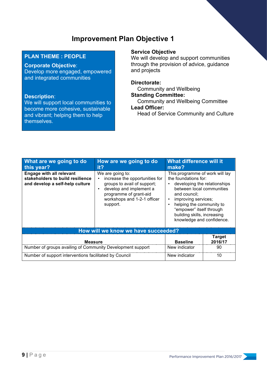#### **PLAN THEME : PEOPLE**

#### **Corporate Objective**:

Develop more engaged, empowered and integrated communities

#### **Description**:

We will support local communities to become more cohesive, sustainable and vibrant; helping them to help themselves.

#### **Service Objective**

We will develop and support communities through the provision of advice, guidance and projects

#### **Directorate:**

Community and Wellbeing **Standing Committee:** 

Community and Wellbeing Committee **Lead Officer:** 

Head of Service Community and Culture

| What are we going to do<br>this year?                                                                  | How are we going to do<br>it?                                                                                                                                                     | <b>What difference will it</b><br>make?                                                                                                                                                                                                                                                                   |                          |
|--------------------------------------------------------------------------------------------------------|-----------------------------------------------------------------------------------------------------------------------------------------------------------------------------------|-----------------------------------------------------------------------------------------------------------------------------------------------------------------------------------------------------------------------------------------------------------------------------------------------------------|--------------------------|
| <b>Engage with all relevant</b><br>stakeholders to build resilience<br>and develop a self-help culture | We are going to:<br>increase the opportunities for<br>groups to avail of support;<br>develop and implement a<br>programme of grant-aid<br>workshops and 1-2-1 officer<br>support. | This programme of work will lay<br>the foundations for:<br>developing the relationships<br>between local communities<br>and council;<br>improving services;<br>$\bullet$<br>helping the community to<br>$\bullet$<br>"empower" itself through<br>building skills, increasing<br>knowledge and confidence. |                          |
| How will we know we have succeeded?                                                                    |                                                                                                                                                                                   |                                                                                                                                                                                                                                                                                                           |                          |
| <b>Measure</b>                                                                                         |                                                                                                                                                                                   | <b>Baseline</b>                                                                                                                                                                                                                                                                                           | <b>Target</b><br>2016/17 |
| Number of groups availing of Community Development support                                             |                                                                                                                                                                                   | New indicator                                                                                                                                                                                                                                                                                             | 90                       |
| Number of support interventions facilitated by Council                                                 |                                                                                                                                                                                   | New indicator                                                                                                                                                                                                                                                                                             | 10                       |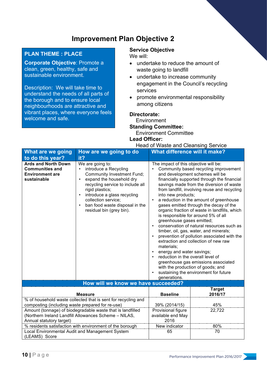#### **PLAN THEME : PLACE**

**Corporate Objective**: Promote a clean, green, healthy, safe and sustainable environment.

Description: We will take time to understand the needs of all parts of the borough and to ensure local neighbourhoods are attractive and vibrant places, where everyone feels welcome and safe.

#### **Service Objective**

We will:

- undertake to reduce the amount of waste going to landfill
- undertake to increase community engagement in the Council's recycling services
- promote environmental responsibility among citizens

#### **Directorate:**

**Environment Standing Committee:**  Environment Committee

**Lead Officer:** 

| it?<br>to do this year?<br><b>Ards and North Down</b><br>We are going to:<br>The impact of this objective will be:<br><b>Communities and</b><br>introduce a Recycling<br>Community based recycling improvement<br><b>Environment are</b><br><b>Community Investment Fund;</b><br>and development schemes will be<br>expand the household dry<br>financially supported through the financial<br>sustainable<br>recycling service to include all<br>savings made from the diversion of waste<br>from landfill, involving reuse and recycling<br>rigid plastics;<br>introduce a glass recycling<br>into new products;<br>$\bullet$<br>collection service;<br>a reduction in the amount of greenhouse<br>ban food waste disposal in the<br>gases emitted through the decay of the<br>$\bullet$<br>residual bin (grey bin).<br>organic fraction of waste in landfills, which<br>is responsible for around 5% of all<br>greenhouse gases emitted;<br>conservation of natural resources such as<br>$\bullet$<br>timber, oil, gas, water, and minerals;<br>prevention of pollution associated with the<br>$\bullet$<br>extraction and collection of new raw<br>materials;<br>energy and water savings;<br>reduction in the overall level of<br>greenhouse gas emissions associated<br>with the production of goods; and<br>sustaining the environment for future<br>generations.<br>How will we know we have succeeded?<br><b>Target</b><br><b>Baseline</b><br>2016/17<br><b>Measure</b><br>% of household waste collected that is sent for recycling and<br>composting (including waste prepared for re-use)<br>39% (2014/15)<br>45%<br>Amount (tonnage) of biodegradable waste that is landfilled<br>Provisional figure<br>22,722<br>(Northern Ireland Landfill Allowances Scheme - NILAS,<br>available end May<br>2016<br>Annual statutory target) | <b>What are we going</b>                        | How are we going to do | <b>What difference will it make?</b> |  |
|-----------------------------------------------------------------------------------------------------------------------------------------------------------------------------------------------------------------------------------------------------------------------------------------------------------------------------------------------------------------------------------------------------------------------------------------------------------------------------------------------------------------------------------------------------------------------------------------------------------------------------------------------------------------------------------------------------------------------------------------------------------------------------------------------------------------------------------------------------------------------------------------------------------------------------------------------------------------------------------------------------------------------------------------------------------------------------------------------------------------------------------------------------------------------------------------------------------------------------------------------------------------------------------------------------------------------------------------------------------------------------------------------------------------------------------------------------------------------------------------------------------------------------------------------------------------------------------------------------------------------------------------------------------------------------------------------------------------------------------------------------------------------------------------------------------------------------------------------|-------------------------------------------------|------------------------|--------------------------------------|--|
|                                                                                                                                                                                                                                                                                                                                                                                                                                                                                                                                                                                                                                                                                                                                                                                                                                                                                                                                                                                                                                                                                                                                                                                                                                                                                                                                                                                                                                                                                                                                                                                                                                                                                                                                                                                                                                               |                                                 |                        |                                      |  |
|                                                                                                                                                                                                                                                                                                                                                                                                                                                                                                                                                                                                                                                                                                                                                                                                                                                                                                                                                                                                                                                                                                                                                                                                                                                                                                                                                                                                                                                                                                                                                                                                                                                                                                                                                                                                                                               |                                                 |                        |                                      |  |
|                                                                                                                                                                                                                                                                                                                                                                                                                                                                                                                                                                                                                                                                                                                                                                                                                                                                                                                                                                                                                                                                                                                                                                                                                                                                                                                                                                                                                                                                                                                                                                                                                                                                                                                                                                                                                                               |                                                 |                        |                                      |  |
|                                                                                                                                                                                                                                                                                                                                                                                                                                                                                                                                                                                                                                                                                                                                                                                                                                                                                                                                                                                                                                                                                                                                                                                                                                                                                                                                                                                                                                                                                                                                                                                                                                                                                                                                                                                                                                               |                                                 |                        |                                      |  |
|                                                                                                                                                                                                                                                                                                                                                                                                                                                                                                                                                                                                                                                                                                                                                                                                                                                                                                                                                                                                                                                                                                                                                                                                                                                                                                                                                                                                                                                                                                                                                                                                                                                                                                                                                                                                                                               |                                                 |                        |                                      |  |
|                                                                                                                                                                                                                                                                                                                                                                                                                                                                                                                                                                                                                                                                                                                                                                                                                                                                                                                                                                                                                                                                                                                                                                                                                                                                                                                                                                                                                                                                                                                                                                                                                                                                                                                                                                                                                                               |                                                 |                        |                                      |  |
|                                                                                                                                                                                                                                                                                                                                                                                                                                                                                                                                                                                                                                                                                                                                                                                                                                                                                                                                                                                                                                                                                                                                                                                                                                                                                                                                                                                                                                                                                                                                                                                                                                                                                                                                                                                                                                               |                                                 |                        |                                      |  |
|                                                                                                                                                                                                                                                                                                                                                                                                                                                                                                                                                                                                                                                                                                                                                                                                                                                                                                                                                                                                                                                                                                                                                                                                                                                                                                                                                                                                                                                                                                                                                                                                                                                                                                                                                                                                                                               |                                                 |                        |                                      |  |
|                                                                                                                                                                                                                                                                                                                                                                                                                                                                                                                                                                                                                                                                                                                                                                                                                                                                                                                                                                                                                                                                                                                                                                                                                                                                                                                                                                                                                                                                                                                                                                                                                                                                                                                                                                                                                                               |                                                 |                        |                                      |  |
| % residents satisfaction with environment of the borough<br>80%<br>New indicator                                                                                                                                                                                                                                                                                                                                                                                                                                                                                                                                                                                                                                                                                                                                                                                                                                                                                                                                                                                                                                                                                                                                                                                                                                                                                                                                                                                                                                                                                                                                                                                                                                                                                                                                                              |                                                 |                        |                                      |  |
| 65<br>70<br>(LEAMS) Score                                                                                                                                                                                                                                                                                                                                                                                                                                                                                                                                                                                                                                                                                                                                                                                                                                                                                                                                                                                                                                                                                                                                                                                                                                                                                                                                                                                                                                                                                                                                                                                                                                                                                                                                                                                                                     | Local Environmental Audit and Management System |                        |                                      |  |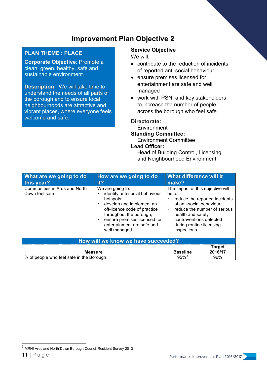#### **PLAN THEME : PLACE**

**Corporate Objective**: Promote a clean, green, healthy, safe and sustainable environment.

**Description:** We will take time to understand the needs of all parts of the borough and to ensure local neighbourhoods are attractive and vibrant places, where everyone feels welcome and safe.

#### **Service Objective**

We will:

- contribute to the reduction of incidents of reported anti-social behaviour
- ensure premises licensed for entertainment are safe and well managed
- work with PSNI and key stakeholders to increase the number of people across the borough who feel safe

#### **Directorate:**

**Environment Standing Committee:** 

Environment Committee

#### **Lead Officer:**

Head of Building Control, Licensing and Neighbourhood Environment

| What are we going to do<br>this year?           | How are we going to do<br>it?                                                                                                                                                                                                         | What difference will it<br>make?                                                                                                                                     |                                                               |
|-------------------------------------------------|---------------------------------------------------------------------------------------------------------------------------------------------------------------------------------------------------------------------------------------|----------------------------------------------------------------------------------------------------------------------------------------------------------------------|---------------------------------------------------------------|
| Communities in Ards and North<br>Down feel safe | We are going to:<br>identify anti-social behaviour<br>hotspots;<br>develop and implement an<br>off-licence code of practice<br>throughout the borough;<br>ensure premises licensed for<br>entertainment are safe and<br>well managed. | The impact of this objective will<br>be to:<br>of anti-social behaviour;<br>health and safety<br>contraventions detected<br>during routine licensing<br>inspections. | reduce the reported incidents<br>reduce the number of serious |
|                                                 | How will we know we have succeeded?                                                                                                                                                                                                   |                                                                                                                                                                      |                                                               |
| <b>Measure</b>                                  |                                                                                                                                                                                                                                       | <b>Baseline</b>                                                                                                                                                      | <b>Target</b><br>2016/17                                      |
| % of people who feel safe in the Borough        |                                                                                                                                                                                                                                       | $95\%$                                                                                                                                                               | 96%                                                           |

<sup>3</sup> MRNI Ards and North Down Borough Council Resident Survey 2013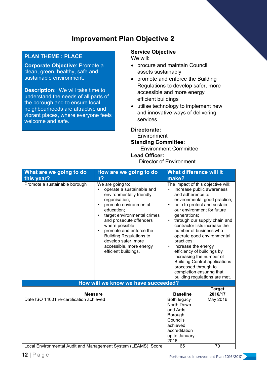#### **PLAN THEME : PLACE**

**Corporate Objective**: Promote a clean, green, healthy, safe and sustainable environment.

**Description:** We will take time to understand the needs of all parts of the borough and to ensure local neighbourhoods are attractive and vibrant places, where everyone feels welcome and safe.

#### **Service Objective**

We will:

- procure and maintain Council assets sustainably
- promote and enforce the Building Regulations to develop safer, more accessible and more energy efficient buildings
- utilise technology to implement new and innovative ways of delivering services

#### **Directorate:**

**Environment Standing Committee:** 

Environment Committee

**Lead Officer:** 

Director of Environment

| What are we going to do                                                                                                     | How are we going to do                                                                                                                                                                                                                                                                                                                                       | <b>What difference will it</b>                                                                                                                                                                                                                                                                      |                                                                                                                                                                                                                                                               |
|-----------------------------------------------------------------------------------------------------------------------------|--------------------------------------------------------------------------------------------------------------------------------------------------------------------------------------------------------------------------------------------------------------------------------------------------------------------------------------------------------------|-----------------------------------------------------------------------------------------------------------------------------------------------------------------------------------------------------------------------------------------------------------------------------------------------------|---------------------------------------------------------------------------------------------------------------------------------------------------------------------------------------------------------------------------------------------------------------|
| this year?<br>Promote a sustainable borough                                                                                 | it?<br>We are going to:<br>operate a sustainable and<br>environmentally friendly<br>organisation;<br>promote environmental<br>education;<br>target environmental crimes<br>and prosecute offenders<br>where possible;<br>promote and enforce the<br><b>Building Regulations to</b><br>develop safer, more<br>accessible, more energy<br>efficient buildings. | make?<br>The impact of this objective will:<br>$\bullet$<br>and adherence to<br>generations;<br>$\bullet$<br>number of business who<br>practices;<br>increase the energy<br>$\bullet$<br>efficiency of buildings by<br>increasing the number of<br>processed through to<br>completion ensuring that | Increase public awareness<br>environmental good practice;<br>help to protect and sustain<br>our environment for future<br>through our supply chain and<br>contractor lists increase the<br>operate good environmental<br><b>Building Control applications</b> |
|                                                                                                                             | How will we know we have succeeded?                                                                                                                                                                                                                                                                                                                          |                                                                                                                                                                                                                                                                                                     | building regulations are met.                                                                                                                                                                                                                                 |
| <b>Measure</b><br>Date ISO 14001 re-certification achieved<br>Local Environmental Audit and Management System (LEAMS) Score |                                                                                                                                                                                                                                                                                                                                                              | <b>Baseline</b><br>Both legacy<br>North Down<br>and Ards<br>Borough<br>Councils<br>achieved<br>accreditation<br>up to January<br>2016<br>65                                                                                                                                                         | <b>Target</b><br>2016/17<br>May 2016<br>70                                                                                                                                                                                                                    |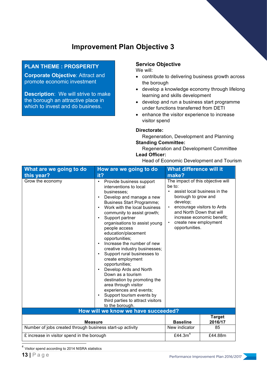#### **PLAN THEME : PROSPERITY**

**Corporate Objective**: Attract and promote economic investment

**Description**: We will strive to make the borough an attractive place in which to invest and do business.

#### **Service Objective**

We will:

- contribute to delivering business growth across the borough
- develop a knowledge economy through lifelong learning and skills development
- develop and run a business start programme under functions transferred from DETI
- enhance the visitor experience to increase visitor spend

#### **Directorate:**

Regeneration, Development and Planning **Standing Committee:** 

Regeneration and Development Committee **Lead Officer:** 

#### Head of Economic Development and Tourism

| What are we going to do<br>this year?                     | How are we going to do<br>it?                                                                                                                                                                                                                                                                                                                                                                                                                                                                                                                                                                                                                                                                                                               | What difference will it<br>make?                                                                                                                                   |                                                                                          |
|-----------------------------------------------------------|---------------------------------------------------------------------------------------------------------------------------------------------------------------------------------------------------------------------------------------------------------------------------------------------------------------------------------------------------------------------------------------------------------------------------------------------------------------------------------------------------------------------------------------------------------------------------------------------------------------------------------------------------------------------------------------------------------------------------------------------|--------------------------------------------------------------------------------------------------------------------------------------------------------------------|------------------------------------------------------------------------------------------|
| Grow the economy                                          | Provide business support<br>$\bullet$<br>interventions to local<br>businesses:<br>Develop and manage a new<br>$\bullet$<br><b>Business Start Programme;</b><br>Work with the local business<br>community to assist growth;<br>Support partner<br>$\bullet$<br>organisations to assist young<br>people access<br>education/placement<br>opportunities;<br>Increase the number of new<br>creative industry businesses;<br>Support rural businesses to<br>$\bullet$<br>create employment<br>opportunities;<br>Develop Ards and North<br>$\bullet$<br>Down as a tourism<br>destination by promoting the<br>area through visitor<br>experiences and events;<br>Support tourism events by<br>third parties to attract visitors<br>to the borough. | The impact of this objective will<br>be to:<br>$\bullet$<br>borough to grow and<br>develop;<br>and North Down that will<br>create new employment<br>opportunities. | assist local business in the<br>encourage visitors to Ards<br>increase economic benefit; |
|                                                           | How will we know we have succeeded?                                                                                                                                                                                                                                                                                                                                                                                                                                                                                                                                                                                                                                                                                                         |                                                                                                                                                                    |                                                                                          |
| <b>Measure</b>                                            |                                                                                                                                                                                                                                                                                                                                                                                                                                                                                                                                                                                                                                                                                                                                             | <b>Baseline</b>                                                                                                                                                    | <b>Target</b><br>2016/17                                                                 |
| Number of jobs created through business start-up activity |                                                                                                                                                                                                                                                                                                                                                                                                                                                                                                                                                                                                                                                                                                                                             | New indicator                                                                                                                                                      | 85                                                                                       |
| £ increase in visitor spend in the borough                |                                                                                                                                                                                                                                                                                                                                                                                                                                                                                                                                                                                                                                                                                                                                             | £44.3 $m4$                                                                                                                                                         | £44.88m                                                                                  |

<sup>4</sup> Visitor spend according to 2014 NISRA statistics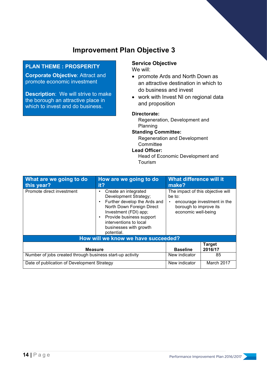#### **PLAN THEME : PROSPERITY**

**Corporate Objective**: Attract and promote economic investment

**Description**: We will strive to make the borough an attractive place in which to invest and do business.

## **Service Objective**

We will:

- promote Ards and North Down as an attractive destination in which to do business and invest
- work with Invest NI on regional data and proposition

#### **Directorate:**

Regeneration, Development and Planning

#### **Standing Committee:**

Regeneration and Development **Committee** 

#### **Lead Officer:**

Head of Economic Development and Tourism

| What are we going to do<br>this year?                     | How are we going to do<br>it?                                                                                                                                                                                                     | What difference will it<br>make?                                                             |                             |
|-----------------------------------------------------------|-----------------------------------------------------------------------------------------------------------------------------------------------------------------------------------------------------------------------------------|----------------------------------------------------------------------------------------------|-----------------------------|
| Promote direct investment                                 | Create an integrated<br>Development Strategy;<br>Further develop the Ards and<br>North Down Foreign Direct<br>Investment (FDI) app;<br>Provide business support<br>interventions to local<br>businesses with growth<br>potential. | The impact of this objective will<br>be to:<br>borough to improve its<br>economic well-being | encourage investment in the |
| How will we know we have succeeded?                       |                                                                                                                                                                                                                                   |                                                                                              |                             |
| <b>Measure</b>                                            |                                                                                                                                                                                                                                   | <b>Baseline</b>                                                                              | <b>Target</b><br>2016/17    |
| Number of jobs created through business start-up activity |                                                                                                                                                                                                                                   | New indicator                                                                                | 85                          |
| Date of publication of Development Strategy               |                                                                                                                                                                                                                                   | New indicator                                                                                | March 2017                  |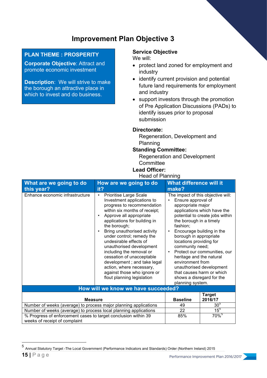#### **PLAN THEME : PROSPERITY**

**Corporate Objective**: Attract and promote economic investment

**Description**: We will strive to make the borough an attractive place in which to invest and do business.

#### **Service Objective**

We will:

- protect land zoned for employment and industry
- identify current provision and potential future land requirements for employment and industry
- support investors through the promotion of Pre Application Discussions (PADs) to identify issues prior to proposal submission

#### **Directorate:**

Regeneration, Development and Planning

#### **Standing Committee:**

Regeneration and Development **Committee** 

#### **Lead Officer:**

#### Head of Planning

| What are we going to do<br>this year?                            | How are we going to do<br>it?                                                                                                                                                                                                                                                                                                                                                                                                                                                                                   | <b>What difference will it</b><br>make?                                                                                                                                                                                                              |                                                                                                                                                                                                                                                         |
|------------------------------------------------------------------|-----------------------------------------------------------------------------------------------------------------------------------------------------------------------------------------------------------------------------------------------------------------------------------------------------------------------------------------------------------------------------------------------------------------------------------------------------------------------------------------------------------------|------------------------------------------------------------------------------------------------------------------------------------------------------------------------------------------------------------------------------------------------------|---------------------------------------------------------------------------------------------------------------------------------------------------------------------------------------------------------------------------------------------------------|
| Enhance economic infrastructure                                  | Prioritise Large Scale<br>$\bullet$<br>Investment applications to<br>progress to recommendation<br>within six months of receipt;<br>Approve all appropriate<br>applications for building in<br>the borough;<br>Bring unauthorised activity<br>under control; remedy the<br>undesirable effects of<br>unauthorised development<br>including the removal or<br>cessation of unacceptable<br>development ; and take legal<br>action, where necessary,<br>against those who ignore or<br>flout planning legislation | Ensure approval of<br>appropriate major<br>the borough in a timely<br>fashion;<br>$\bullet$<br>borough in appropriate<br>locations providing for<br>community need;<br>$\bullet$<br>heritage and the natural<br>environment from<br>planning system. | The impact of this objective will:<br>applications which have the<br>potential to create jobs within<br>Encourage building in the<br>Protect our communities, our<br>unauthorised development<br>that causes harm or which<br>shows a disregard for the |
|                                                                  | How will we know we have succeeded?                                                                                                                                                                                                                                                                                                                                                                                                                                                                             |                                                                                                                                                                                                                                                      |                                                                                                                                                                                                                                                         |
| <b>Measure</b>                                                   |                                                                                                                                                                                                                                                                                                                                                                                                                                                                                                                 | <b>Baseline</b>                                                                                                                                                                                                                                      | <b>Target</b><br>2016/17                                                                                                                                                                                                                                |
| Number of weeks (average) to process major planning applications |                                                                                                                                                                                                                                                                                                                                                                                                                                                                                                                 | 49                                                                                                                                                                                                                                                   | 30 <sup>5</sup>                                                                                                                                                                                                                                         |
| Number of weeks (average) to process local planning applications |                                                                                                                                                                                                                                                                                                                                                                                                                                                                                                                 | 22                                                                                                                                                                                                                                                   | $15^5$                                                                                                                                                                                                                                                  |
| % Progress of enforcement cases to target conclusion within 39   |                                                                                                                                                                                                                                                                                                                                                                                                                                                                                                                 | 85%                                                                                                                                                                                                                                                  | $70\%$ <sup>5</sup>                                                                                                                                                                                                                                     |
| weeks of receipt of complaint                                    |                                                                                                                                                                                                                                                                                                                                                                                                                                                                                                                 |                                                                                                                                                                                                                                                      |                                                                                                                                                                                                                                                         |

<sup>5</sup> Annual Statutory Target -The Local Government (Performance Indicators and Standards) Order (Northern Ireland) 2015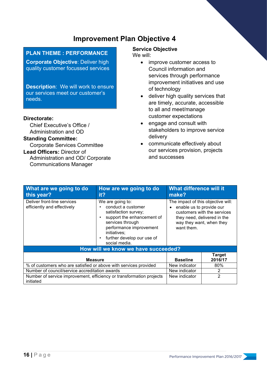#### **PLAN THEME : PERFORMANCE**

**Corporate Objective**: Deliver high quality customer focussed services

**Description**: We will work to ensure our services meet our customer's needs.

#### **Directorate:**

Chief Executive's Office / Administration and OD

#### **Standing Committee:**

Corporate Services Committee

**Lead Officers:** Director of Administration and OD/ Corporate Communications Manager

#### **Service Objective**

We will:

- improve customer access to Council information and services through performance improvement initiatives and use of technology
- deliver high quality services that are timely, accurate, accessible to all and meet/manage customer expectations
- engage and consult with stakeholders to improve service delivery
- communicate effectively about our services provision, projects and successes

| What are we going to do<br>this year?                                             | How are we going to do<br>it?                                                                                                                                                                              | What difference will it<br>make?                                             |                                                                                        |
|-----------------------------------------------------------------------------------|------------------------------------------------------------------------------------------------------------------------------------------------------------------------------------------------------------|------------------------------------------------------------------------------|----------------------------------------------------------------------------------------|
| Deliver front-line services<br>efficiently and effectively                        | We are going to:<br>conduct a customer<br>satisfaction survey;<br>support the enhancement of<br>services through<br>performance improvement<br>initiatives;<br>further develop our use of<br>social media. | The impact of this objective will:<br>enable us to provide our<br>want them. | customers with the services<br>they need, delivered in the<br>way they want, when they |
| How will we know we have succeeded?                                               |                                                                                                                                                                                                            |                                                                              |                                                                                        |
| <b>Measure</b>                                                                    |                                                                                                                                                                                                            | <b>Baseline</b>                                                              | <b>Target</b><br>2016/17                                                               |
| % of customers who are satisfied or above with services provided                  |                                                                                                                                                                                                            | New indicator                                                                | $80\%$                                                                                 |
| Number of council/service accreditation awards                                    |                                                                                                                                                                                                            | New indicator                                                                | 2                                                                                      |
| Number of service improvement, efficiency or transformation projects<br>initiated |                                                                                                                                                                                                            | New indicator                                                                | $\overline{2}$                                                                         |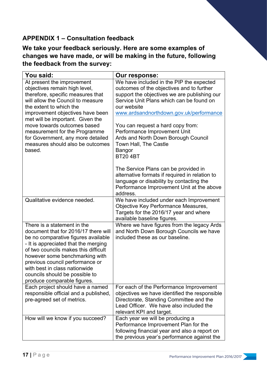## **APPENDIX 1 – Consultation feedback**

**We take your feedback seriously. Here are some examples of changes we have made, or will be making in the future, following the feedback from the survey:**

| You said:                                                                                                                                                                                                                                                                                                                                                                                   | Our response:                                                                                                                                                                                                                                                                                                                                                                                                                                                                                                                                                                                                |
|---------------------------------------------------------------------------------------------------------------------------------------------------------------------------------------------------------------------------------------------------------------------------------------------------------------------------------------------------------------------------------------------|--------------------------------------------------------------------------------------------------------------------------------------------------------------------------------------------------------------------------------------------------------------------------------------------------------------------------------------------------------------------------------------------------------------------------------------------------------------------------------------------------------------------------------------------------------------------------------------------------------------|
| At present the improvement<br>objectives remain high level,<br>therefore, specific measures that<br>will allow the Council to measure<br>the extent to which the<br>improvement objectives have been<br>met will be important. Given the<br>move towards outcomes based<br>measurement for the Programme<br>for Government, any more detailed<br>measures should also be outcomes<br>based. | We have included in the PIP the expected<br>outcomes of the objectives and to further<br>support the objectives we are publishing our<br>Service Unit Plans which can be found on<br>our website<br>www.ardsandnorthdown.gov.uk/performance<br>You can request a hard copy from:<br>Performance Improvement Unit<br>Ards and North Down Borough Council<br>Town Hall, The Castle<br>Bangor<br><b>BT20 4BT</b><br>The Service Plans can be provided in<br>alternative formats if required in relation to<br>language or disability by contacting the<br>Performance Improvement Unit at the above<br>address. |
| Qualitative evidence needed.                                                                                                                                                                                                                                                                                                                                                                | We have included under each Improvement<br>Objective Key Performance Measures,<br>Targets for the 2016/17 year and where<br>available baseline figures.                                                                                                                                                                                                                                                                                                                                                                                                                                                      |
| There is a statement in the<br>document that for 2016/17 there will<br>be no comparative figures available<br>- It is appreciated that the merging<br>of two councils makes this difficult<br>however some benchmarking with<br>previous council performance or<br>with best in class nationwide<br>councils should be possible to<br>produce comparable figures.                           | Where we have figures from the legacy Ards<br>and North Down Borough Councils we have<br>included these as our baseline.                                                                                                                                                                                                                                                                                                                                                                                                                                                                                     |
| Each project should have a named<br>responsible official and a published,<br>pre-agreed set of metrics.                                                                                                                                                                                                                                                                                     | For each of the Performance Improvement<br>objectives we have identified the responsible<br>Directorate, Standing Committee and the<br>Lead Officer. We have also included the<br>relevant KPI and target.                                                                                                                                                                                                                                                                                                                                                                                                   |
| How will we know if you succeed?                                                                                                                                                                                                                                                                                                                                                            | Each year we will be producing a<br>Performance Improvement Plan for the<br>following financial year and also a report on<br>the previous year's performance against the                                                                                                                                                                                                                                                                                                                                                                                                                                     |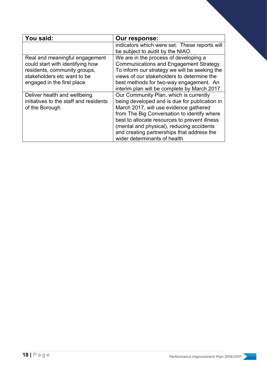| You said:                              | <b>Our response:</b>                          |
|----------------------------------------|-----------------------------------------------|
|                                        | indicators which were set. These reports will |
|                                        | be subject to audit by the NIAO.              |
| Real and meaningful engagement         | We are in the process of developing a         |
| could start with identifying how       | Communications and Engagement Strategy.       |
| residents, community groups,           | To inform our strategy we will be seeking the |
| stakeholders etc want to be            | views of our stakeholders to determine the    |
| engaged in the first place.            | best methods for two-way engagement. An       |
|                                        | interim plan will be complete by March 2017.  |
| Deliver health and wellbeing           | Our Community Plan, which is currently        |
| initiatives to the staff and residents | being developed and is due for publication in |
| of the Borough.                        | March 2017, will use evidence gathered        |
|                                        | from The Big Conversation to identify where   |
|                                        | best to allocate resources to prevent illness |
|                                        | (mental and physical), reducing accidents     |
|                                        | and creating partnerships that address the    |
|                                        | wider determinants of health                  |

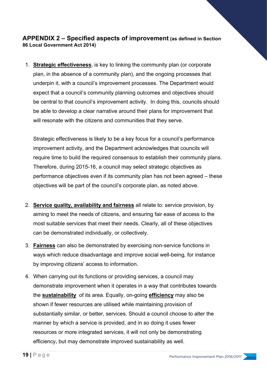#### **APPENDIX 2 – Specified aspects of improvement (as defined in Section 86 Local Government Act 2014)**

1. **Strategic effectiveness**, is key to linking the community plan (or corporate plan, in the absence of a community plan), and the ongoing processes that underpin it, with a council's improvement processes. The Department would expect that a council's community planning outcomes and objectives should be central to that council's improvement activity. In doing this, councils should be able to develop a clear narrative around their plans for improvement that will resonate with the citizens and communities that they serve.

Strategic effectiveness is likely to be a key focus for a council's performance improvement activity, and the Department acknowledges that councils will require time to build the required consensus to establish their community plans. Therefore, during 2015-16, a council may select strategic objectives as performance objectives even if its community plan has not been agreed – these objectives will be part of the council's corporate plan, as noted above.

- 2. **Service quality, availability and fairness** all relate to: service provision, by aiming to meet the needs of citizens, and ensuring fair ease of access to the most suitable services that meet their needs. Clearly, all of these objectives can be demonstrated individually, or collectively.
- 3. **Fairness** can also be demonstrated by exercising non-service functions in ways which reduce disadvantage and improve social well-being, for instance by improving citizens' access to information.
- 4. When carrying out its functions or providing services, a council may demonstrate improvement when it operates in a way that contributes towards the **sustainability** of its area. Equally, on-going **efficiency** may also be shown if fewer resources are utilised while maintaining provision of substantially similar, or better, services. Should a council choose to alter the manner by which a service is provided, and in so doing it uses fewer resources or more integrated services, it will not only be demonstrating efficiency, but may demonstrate improved sustainability as well.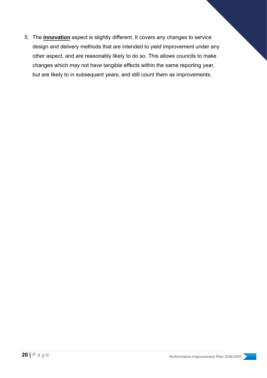5. The **innovation** aspect is slightly different. It covers any changes to service design and delivery methods that are intended to yield improvement under any other aspect, and are reasonably likely to do so. This allows councils to make changes which may not have tangible effects within the same reporting year, but are likely to in subsequent years, and still count them as improvements.

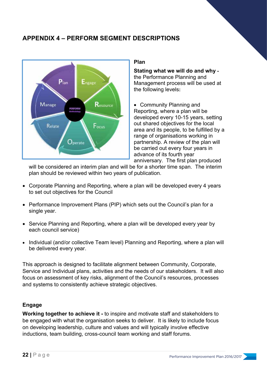### **APPENDIX 4 – PERFORM SEGMENT DESCRIPTIONS**



#### **Plan**

**Stating what we will do and why**  the Performance Planning and Management process will be used at the following levels**:** 

• Community Planning and Reporting, where a plan will be developed every 10-15 years, setting out shared objectives for the local area and its people, to be fulfilled by a range of organisations working in partnership. A review of the plan will be carried out every four years in advance of its fourth year anniversary. The first plan produced

will be considered an interim plan and will be for a shorter time span. The interim plan should be reviewed within two years of publication.

- Corporate Planning and Reporting, where a plan will be developed every 4 years to set out objectives for the Council
- Performance Improvement Plans (PIP) which sets out the Council's plan for a single year.
- Service Planning and Reporting, where a plan will be developed every year by each council service)
- Individual (and/or collective Team level) Planning and Reporting, where a plan will be delivered every year.

This approach is designed to facilitate alignment between Community, Corporate, Service and Individual plans, activities and the needs of our stakeholders. It will also focus on assessment of key risks, alignment of the Council's resources, processes and systems to consistently achieve strategic objectives.

#### **Engage**

**Working together to achieve it -** to inspire and motivate staff and stakeholders to be engaged with what the organisation seeks to deliver. It is likely to include focus on developing leadership, culture and values and will typically involve effective inductions, team building, cross-council team working and staff forums.

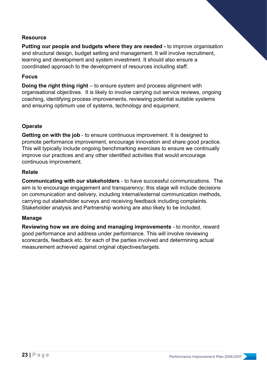#### **Resource**

**Putting our people and budgets where they are needed -** to improve organisation and structural design, budget setting and management. It will involve recruitment, learning and development and system investment. It should also ensure a coordinated approach to the development of resources including staff.

#### **Focus**

**Doing the right thing right** – to ensure system and process alignment with organisational objectives. It is likely to involve carrying out service reviews, ongoing coaching, identifying process improvements, reviewing potential suitable systems and ensuring optimum use of systems, technology and equipment.

#### **Operate**

**Getting on with the job** - to ensure continuous improvement. It is designed to promote performance improvement, encourage innovation and share good practice. This will typically include ongoing benchmarking exercises to ensure we continually improve our practices and any other identified activities that would encourage continuous improvement.

#### **Relate**

**Communicating with our stakeholders** - to have successful communications. The aim is to encourage engagement and transparency; this stage will include decisions on communication and delivery, including internal/external communication methods, carrying out stakeholder surveys and receiving feedback including complaints. Stakeholder analysis and Partnership working are also likely to be included.

#### **Manage**

**Reviewing how we are doing and managing improvements** - to monitor, reward good performance and address under performance. This will involve reviewing scorecards, feedback etc. for each of the parties involved and determining actual measurement achieved against original objectives/targets.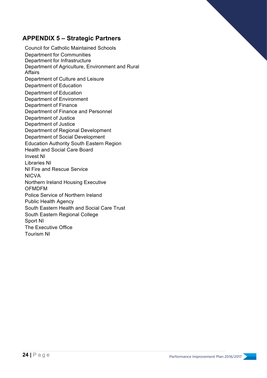### **APPENDIX 5 – Strategic Partners**

Council for Catholic Maintained Schools Department for Communities Department for Infrastructure Department of Agriculture, Environment and Rural Affairs Department of Culture and Leisure Department of Education Department of Education Department of Environment Department of Finance Department of Finance and Personnel Department of Justice Department of Justice Department of Regional Development Department of Social Development Education Authority South Eastern Region Health and Social Care Board Invest NI Libraries NI NI Fire and Rescue Service NICVA Northern Ireland Housing Executive OFMDFM Police Service of Northern Ireland Public Health Agency South Eastern Health and Social Care Trust South Eastern Regional College Sport NI The Executive Office Tourism NI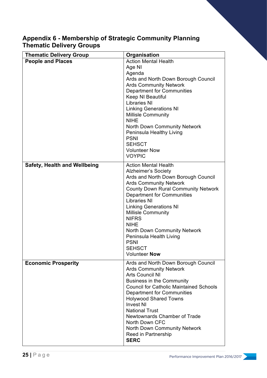### **Appendix 6 - Membership of Strategic Community Planning Thematic Delivery Groups**

| <b>Thematic Delivery Group</b>      | Organisation                                                                                                                                                                                                                                                                                                                                                                                                                                                |
|-------------------------------------|-------------------------------------------------------------------------------------------------------------------------------------------------------------------------------------------------------------------------------------------------------------------------------------------------------------------------------------------------------------------------------------------------------------------------------------------------------------|
| <b>People and Places</b>            | <b>Action Mental Health</b><br>Age NI<br>Agenda<br>Ards and North Down Borough Council<br><b>Ards Community Network</b><br><b>Department for Communities</b><br>Keep NI Beautiful<br><b>Libraries NI</b><br><b>Linking Generations NI</b><br><b>Millisle Community</b><br><b>NIHE</b><br><b>North Down Community Network</b><br>Peninsula Healthy Living<br><b>PSNI</b><br><b>SEHSCT</b><br><b>Volunteer Now</b><br><b>VOYPIC</b>                           |
| <b>Safety, Health and Wellbeing</b> | <b>Action Mental Health</b><br><b>Alzheimer's Society</b><br>Ards and North Down Borough Council<br><b>Ards Community Network</b><br><b>County Down Rural Community Network</b><br><b>Department for Communities</b><br><b>Libraries NI</b><br><b>Linking Generations NI</b><br><b>Millisle Community</b><br><b>NIFRS</b><br><b>NIHE</b><br><b>North Down Community Network</b><br>Peninsula Health Living<br><b>PSNI</b><br><b>SEHSCT</b><br>Volunteer Now |
| <b>Economic Prosperity</b>          | Ards and North Down Borough Council<br><b>Ards Community Network</b><br><b>Arts Council NI</b><br><b>Business in the Community</b><br><b>Council for Catholic Maintained Schools</b><br><b>Department for Communities</b><br><b>Holywood Shared Towns</b><br><b>Invest NI</b><br><b>National Trust</b><br>Newtownards Chamber of Trade<br>North Down CFC<br>North Down Community Network<br>Reed in Partnership<br><b>SERC</b>                              |